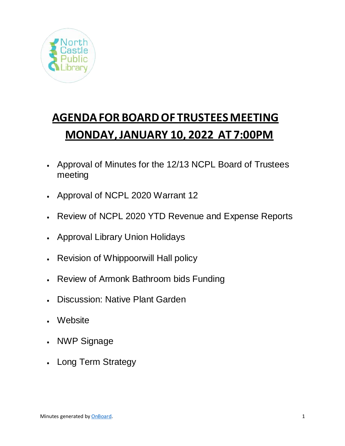

# **AGENDAFOR BOARDOF TRUSTEES MEETING MONDAY, JANUARY 10, 2022 AT 7:00PM**

- Approval of Minutes for the 12/13 NCPL Board of Trustees meeting
- Approval of NCPL 2020 Warrant 12
- Review of NCPL 2020 YTD Revenue and Expense Reports
- Approval Library Union Holidays
- Revision of Whippoorwill Hall policy
- Review of Armonk Bathroom bids Funding
- Discussion: Native Plant Garden
- Website
- NWP Signage
- Long Term Strategy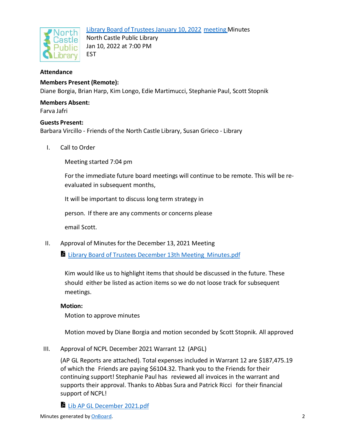

Library Board of Trustees January 10, 2022 meeting Minutes North Castle Public Library Jan 10, 2022 at 7:00 PM EST

# **Attendance**

**Members Present (Remote):** Diane Borgia, Brian Harp, Kim Longo, Edie Martimucci, Stephanie Paul, Scott Stopnik

# **Members Absent:**

Farva Jafri

#### **Guests Present:**

Barbara Vircillo - Friends of the North Castle Library, Susan Grieco - Library

I. Call to Order

Meeting started 7:04 pm

For the immediate future board meetings will continue to be remote. This will be reevaluated in subsequent months,

It will be important to discuss long term strategy in

person. If there are any comments or concerns please

email Scott.

II. Approval of Minutes for the December 13, 2021 Meeting

**Library Board of Trustees December 13th Meeting Minutes.pdf** 

Kim would like us to highlight items that should be discussed in the future. These should either be listed as action items so we do not loose track for subsequent meetings.

#### **Motion:**

Motion to approve minutes

Motion moved by Diane Borgia and motion seconded by Scott Stopnik. All approved

III. Approval of NCPL December 2021 Warrant 12 (APGL)

(AP GL Reports are attached). Total expenses included in Warrant 12 are \$187,475.19 of which the Friends are paying \$6104.32. Thank you to the Friends for their continuing support! Stephanie Paul has reviewed all invoices in the warrant and supports their approval. Thanks to Abbas Sura and Patrick Ricci for their financial support of NCPL!

Lib AP GL December 2021.pdf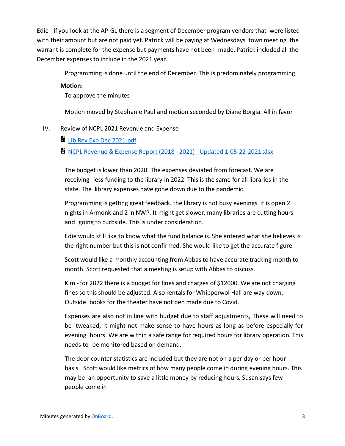Edie - if you look at the AP-GL there is a segment of December program vendors that were listed with their amount but are not paid yet. Patrick will be paying at Wednesdays town meeting. the warrant is complete for the expense but payments have not been made. Patrick included all the December expenses to include in the 2021 year.

Programming is done until the end of December. This is predominately programming

### **Motion:**

To approve the minutes

Motion moved by Stephanie Paul and motion seconded by Diane Borgia. All in favor

# IV. Review of NCPL 2021 Revenue and Expense

Lib Rev Exp Dec 2021.pdf

# **x** NCPL Revenue & Expense Report (2018 - 2021) - Updated 1-05-22-2021.xlsx

The budget is lower than 2020. The expenses deviated from forecast. We are receiving less funding to the library in 2022. This is the same for all libraries in the state. The library expenses have gone down due to the pandemic.

Programming is getting great feedback. the library is not busy evenings. it is open 2 nights in Armonk and 2 in NWP. It might get slower. many libraries are cutting hours and going to curbside. This is under consideration.

Edie would still like to know what the fund balance is. She entered what she believes is the right number but this is not confirmed. She would like to get the accurate figure.

Scott would like a monthly accounting from Abbas to have accurate tracking month to month. Scott requested that a meeting is setup with Abbas to discuss.

Kim - for 2022 there is a budget for fines and charges of \$12000. We are not charging fines so this should be adjusted. Also rentals for Whipperwol Hall are way down. Outside books for the theater have not ben made due to Covid.

Expenses are also not in line with budget due to staff adjustments, These will need to be tweaked, It might not make sense to have hours as long as before especially for evening hours. We are within a safe range for required hours for library operation. This needs to be monitored based on demand.

The door counter statistics are included but they are not on a per day or per hour basis. Scott would like metrics of how many people come in during evening hours. This may be an opportunity to save a little money by reducing hours. Susan says few people come in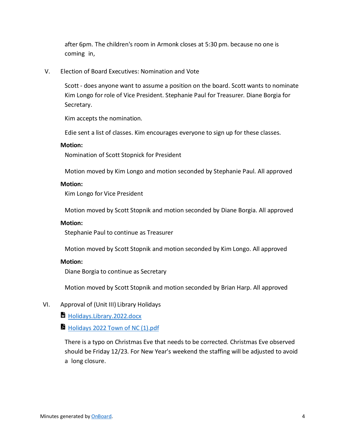after 6pm. The children's room in Armonk closes at 5:30 pm. because no one is coming in,

#### V. Election of Board Executives: Nomination and Vote

Scott - does anyone want to assume a position on the board. Scott wants to nominate Kim Longo for role of Vice President. Stephanie Paul for Treasurer. Diane Borgia for Secretary.

Kim accepts the nomination.

Edie sent a list of classes. Kim encourages everyone to sign up for these classes.

#### **Motion:**

Nomination of Scott Stopnick for President

Motion moved by Kim Longo and motion seconded by Stephanie Paul. All approved

#### **Motion:**

Kim Longo for Vice President

Motion moved by Scott Stopnik and motion seconded by Diane Borgia. All approved

#### **Motion:**

Stephanie Paul to continue as Treasurer

Motion moved by Scott Stopnik and motion seconded by Kim Longo. All approved

#### **Motion:**

Diane Borgia to continue as Secretary

Motion moved by Scott Stopnik and motion seconded by Brian Harp. All approved

#### VI. Approval of (Unit III) Library Holidays

Holidays.Library.2022.docx

Holidays 2022 Town of NC (1).pdf

There is a typo on Christmas Eve that needs to be corrected. Christmas Eve observed should be Friday 12/23. For New Year's weekend the staffing will be adjusted to avoid a long closure.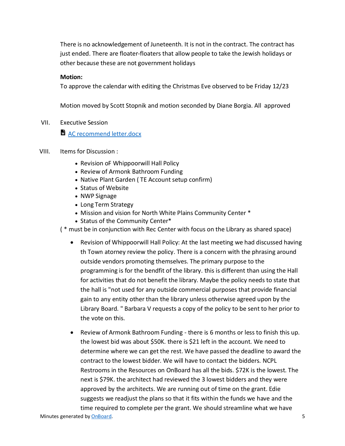There is no acknowledgement of Juneteenth. It is not in the contract. The contract has just ended. There are floater-floaters that allow people to take the Jewish holidays or other because these are not government holidays

# **Motion:**

To approve the calendar with editing the Christmas Eve observed to be Friday 12/23

Motion moved by Scott Stopnik and motion seconded by Diane Borgia. All approved

VII. Executive Session

**E** AC recommend letter.docx

- VIII. Items for Discussion :
	- Revision oF Whippoorwill Hall Policy
	- Review of Armonk Bathroom Funding
	- Native Plant Garden ( TE Account setup confirm)
	- Status of Website
	- NWP Signage
	- Long Term Strategy
	- Mission and vision for North White Plains Community Center \*
	- Status of the Community Center\*

( \* must be in conjunction with Rec Center with focus on the Library as shared space)

- Revision of Whippoorwill Hall Policy: At the last meeting we had discussed having th Town atorney review the policy. There is a concern with the phrasing around outside vendors promoting themselves. The primary purpose to the programming is for the bendfit of the library. this is different than using the Hall for activities that do not benefit the library. Maybe the policy needs to state that the hall is "not used for any outside commercial purposes that provide financial gain to any entity other than the library unless otherwise agreed upon by the Library Board. " Barbara V requests a copy of the policy to be sent to her prior to the vote on this.
- Review of Armonk Bathroom Funding there is 6 months or less to finish this up. the lowest bid was about \$50K. there is \$21 left in the account. We need to determine where we can get the rest. We have passed the deadline to award the contract to the lowest bidder. We will have to contact the bidders. NCPL Restrooms in the Resources on OnBoard has all the bids. \$72K is the lowest. The next is \$79K. the architect had reviewed the 3 lowest bidders and they were approved by the architects. We are running out of time on the grant. Edie suggests we readjust the plans so that it fits within the funds we have and the time required to complete per the grant. We should streamline what we have